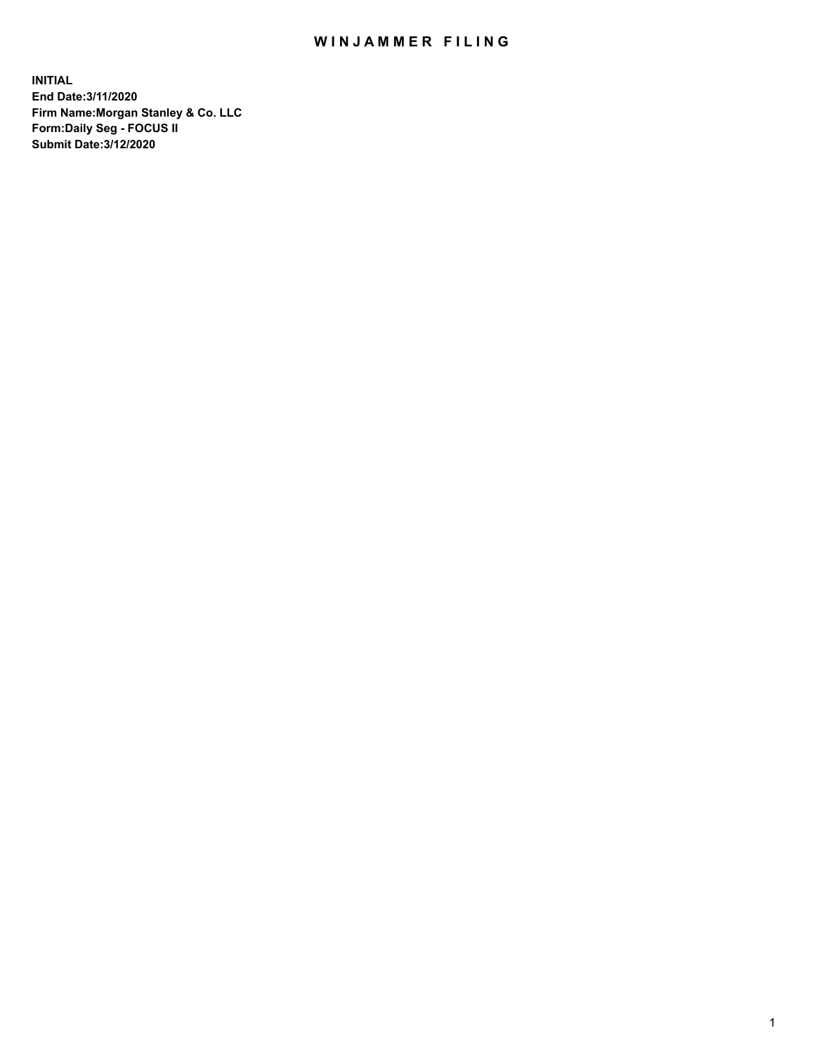## WIN JAMMER FILING

**INITIAL End Date:3/11/2020 Firm Name:Morgan Stanley & Co. LLC Form:Daily Seg - FOCUS II Submit Date:3/12/2020**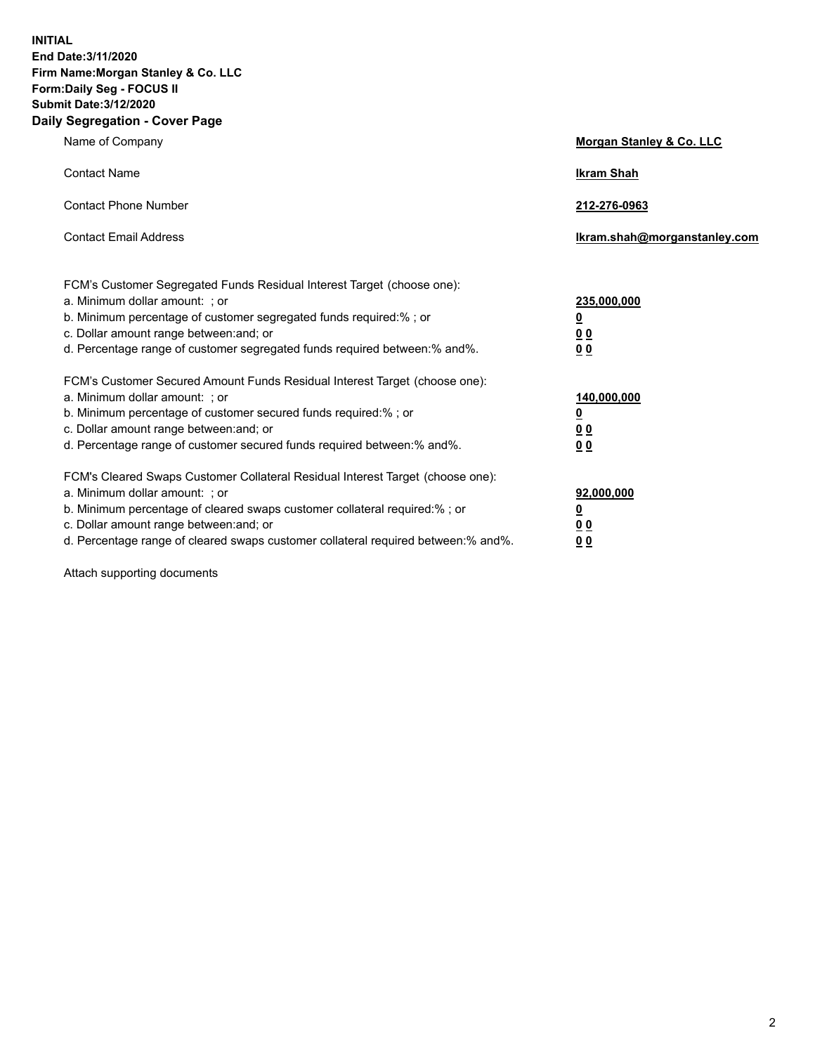**INITIAL End Date:3/11/2020 Firm Name:Morgan Stanley & Co. LLC Form:Daily Seg - FOCUS II Submit Date:3/12/2020 Daily Segregation - Cover Page**

| Name of Company                                                                                                                                                                                                                                                                                                                | <b>Morgan Stanley &amp; Co. LLC</b>                     |
|--------------------------------------------------------------------------------------------------------------------------------------------------------------------------------------------------------------------------------------------------------------------------------------------------------------------------------|---------------------------------------------------------|
| <b>Contact Name</b>                                                                                                                                                                                                                                                                                                            | <b>Ikram Shah</b>                                       |
| <b>Contact Phone Number</b>                                                                                                                                                                                                                                                                                                    | 212-276-0963                                            |
| <b>Contact Email Address</b>                                                                                                                                                                                                                                                                                                   | Ikram.shah@morganstanley.com                            |
| FCM's Customer Segregated Funds Residual Interest Target (choose one):<br>a. Minimum dollar amount: ; or<br>b. Minimum percentage of customer segregated funds required:% ; or<br>c. Dollar amount range between: and; or                                                                                                      | 235,000,000<br><u>0</u><br><u>00</u>                    |
| d. Percentage range of customer segregated funds required between:% and%.<br>FCM's Customer Secured Amount Funds Residual Interest Target (choose one):                                                                                                                                                                        | 0 <sup>0</sup>                                          |
| a. Minimum dollar amount: ; or<br>b. Minimum percentage of customer secured funds required:%; or<br>c. Dollar amount range between: and; or<br>d. Percentage range of customer secured funds required between: % and %.                                                                                                        | 140,000,000<br><u>0</u><br><u>0 0</u><br>0 <sub>0</sub> |
| FCM's Cleared Swaps Customer Collateral Residual Interest Target (choose one):<br>a. Minimum dollar amount: ; or<br>b. Minimum percentage of cleared swaps customer collateral required:% ; or<br>c. Dollar amount range between: and; or<br>d. Percentage range of cleared swaps customer collateral required between:% and%. | 92,000,000<br><u>0</u><br>0 Q<br>0 <sub>0</sub>         |

Attach supporting documents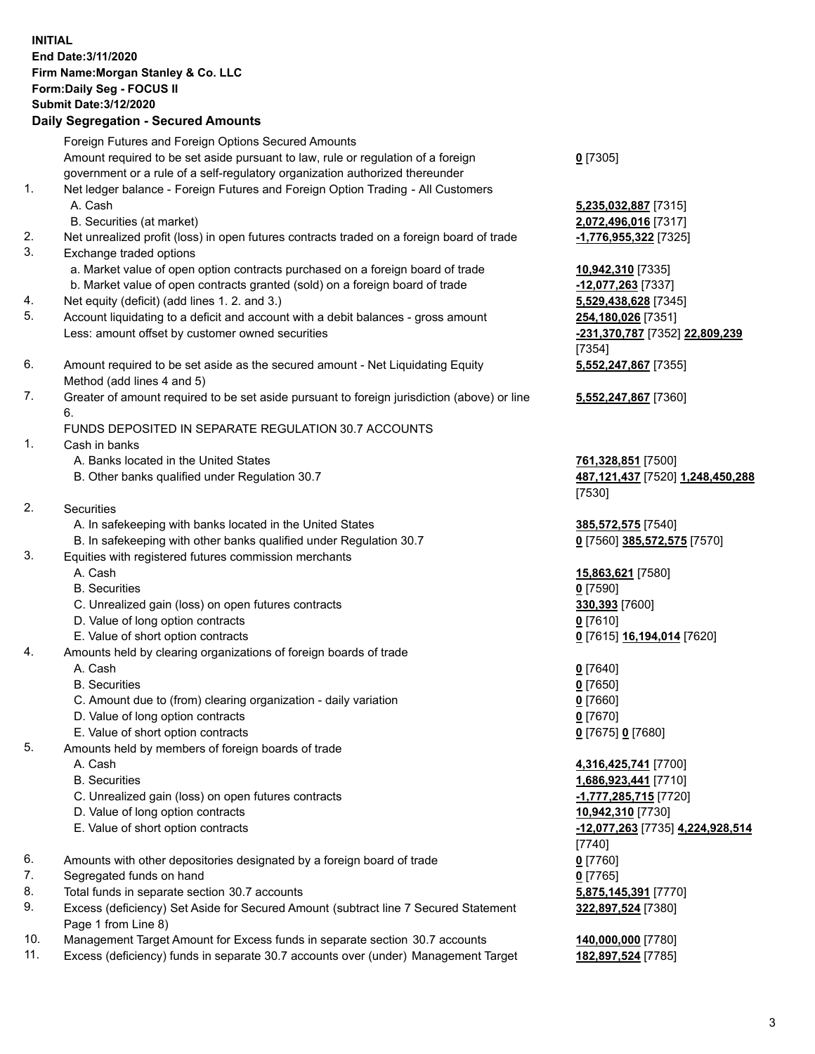## **INITIAL End Date:3/11/2020 Firm Name:Morgan Stanley & Co. LLC Form:Daily Seg - FOCUS II Submit Date:3/12/2020**

## **Daily Segregation - Secured Amounts**

Foreign Futures and Foreign Options Secured Amounts Amount required to be set aside pursuant to law, rule or regulation of a foreign government or a rule of a self-regulatory organization authorized thereunder 1. Net ledger balance - Foreign Futures and Foreign Option Trading - All Customers A. Cash **5,235,032,887** [7315] B. Securities (at market) **2,072,496,016** [7317] 2. Net unrealized profit (loss) in open futures contracts traded on a foreign board of trade **-1,776,955,322** [7325] 3. Exchange traded options a. Market value of open option contracts purchased on a foreign board of trade **10,942,310** [7335] b. Market value of open contracts granted (sold) on a foreign board of trade **-12,077,263** [7337] 4. Net equity (deficit) (add lines 1. 2. and 3.) **5,529,438,628** [7345] 5. Account liquidating to a deficit and account with a debit balances - gross amount **254,180,026** [7351] Less: amount offset by customer owned securities **-231,370,787** [7352] **22,809,239** 6. Amount required to be set aside as the secured amount - Net Liquidating Equity Method (add lines 4 and 5) 7. Greater of amount required to be set aside pursuant to foreign jurisdiction (above) or line 6. FUNDS DEPOSITED IN SEPARATE REGULATION 30.7 ACCOUNTS 1. Cash in banks A. Banks located in the United States **761,328,851** [7500] B. Other banks qualified under Regulation 30.7 **487,121,437** [7520] **1,248,450,288** 2. Securities A. In safekeeping with banks located in the United States **385,572,575** [7540] B. In safekeeping with other banks qualified under Regulation 30.7 **0** [7560] **385,572,575** [7570] 3. Equities with registered futures commission merchants A. Cash **15,863,621** [7580] B. Securities **0** [7590] C. Unrealized gain (loss) on open futures contracts **330,393** [7600] D. Value of long option contracts **0** [7610] E. Value of short option contracts **0** [7615] **16,194,014** [7620] 4. Amounts held by clearing organizations of foreign boards of trade A. Cash **0** [7640] B. Securities **0** [7650] C. Amount due to (from) clearing organization - daily variation **0** [7660] D. Value of long option contracts **0** [7670] E. Value of short option contracts **0** [7675] **0** [7680] 5. Amounts held by members of foreign boards of trade A. Cash **4,316,425,741** [7700] B. Securities **1,686,923,441** [7710] C. Unrealized gain (loss) on open futures contracts **-1,777,285,715** [7720] D. Value of long option contracts **10,942,310** [7730] E. Value of short option contracts **-12,077,263** [7735] **4,224,928,514**

- 6. Amounts with other depositories designated by a foreign board of trade **0** [7760]
- 7. Segregated funds on hand **0** [7765]
- 8. Total funds in separate section 30.7 accounts **5,875,145,391** [7770]
- 9. Excess (deficiency) Set Aside for Secured Amount (subtract line 7 Secured Statement Page 1 from Line 8)
- 10. Management Target Amount for Excess funds in separate section 30.7 accounts **140,000,000** [7780]
- 11. Excess (deficiency) funds in separate 30.7 accounts over (under) Management Target **182,897,524** [7785]

[7354] **5,552,247,867** [7355]

**5,552,247,867** [7360]

[7530]

[7740] **322,897,524** [7380]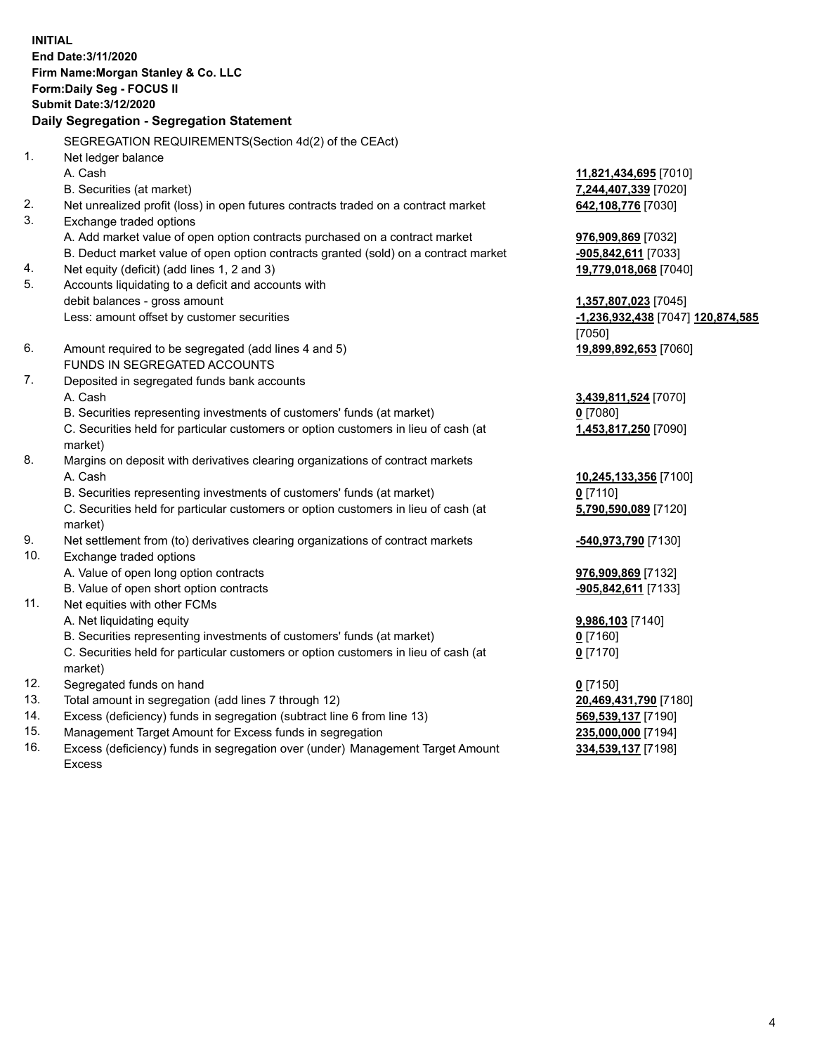**INITIAL End Date:3/11/2020 Firm Name:Morgan Stanley & Co. LLC Form:Daily Seg - FOCUS II Submit Date:3/12/2020 Daily Segregation - Segregation Statement** SEGREGATION REQUIREMENTS(Section 4d(2) of the CEAct) 1. Net ledger balance A. Cash **11,821,434,695** [7010] B. Securities (at market) **7,244,407,339** [7020] 2. Net unrealized profit (loss) in open futures contracts traded on a contract market **642,108,776** [7030] 3. Exchange traded options A. Add market value of open option contracts purchased on a contract market **976,909,869** [7032] B. Deduct market value of open option contracts granted (sold) on a contract market **-905,842,611** [7033] 4. Net equity (deficit) (add lines 1, 2 and 3) **19,779,018,068** [7040] 5. Accounts liquidating to a deficit and accounts with debit balances - gross amount **1,357,807,023** [7045] Less: amount offset by customer securities **-1,236,932,438** [7047] **120,874,585** [7050] 6. Amount required to be segregated (add lines 4 and 5) **19,899,892,653** [7060] FUNDS IN SEGREGATED ACCOUNTS 7. Deposited in segregated funds bank accounts A. Cash **3,439,811,524** [7070] B. Securities representing investments of customers' funds (at market) **0** [7080] C. Securities held for particular customers or option customers in lieu of cash (at market) **1,453,817,250** [7090] 8. Margins on deposit with derivatives clearing organizations of contract markets A. Cash **10,245,133,356** [7100] B. Securities representing investments of customers' funds (at market) **0** [7110] C. Securities held for particular customers or option customers in lieu of cash (at market) **5,790,590,089** [7120] 9. Net settlement from (to) derivatives clearing organizations of contract markets **-540,973,790** [7130] 10. Exchange traded options A. Value of open long option contracts **976,909,869** [7132] B. Value of open short option contracts **and the set of open short option contracts -905,842,611** [7133] 11. Net equities with other FCMs A. Net liquidating equity **9,986,103** [7140] B. Securities representing investments of customers' funds (at market) **0** [7160] C. Securities held for particular customers or option customers in lieu of cash (at market) **0** [7170] 12. Segregated funds on hand **0** [7150] 13. Total amount in segregation (add lines 7 through 12) **20,469,431,790** [7180] 14. Excess (deficiency) funds in segregation (subtract line 6 from line 13) **569,539,137** [7190]

- 15. Management Target Amount for Excess funds in segregation **235,000,000** [7194]
- 16. Excess (deficiency) funds in segregation over (under) Management Target Amount Excess

**334,539,137** [7198]